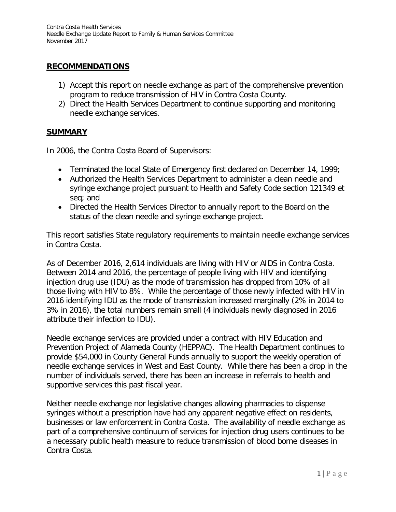### **RECOMMENDATIONS**

- 1) Accept this report on needle exchange as part of the comprehensive prevention program to reduce transmission of HIV in Contra Costa County.
- 2) Direct the Health Services Department to continue supporting and monitoring needle exchange services.

#### **SUMMARY**

In 2006, the Contra Costa Board of Supervisors:

- Terminated the local State of Emergency first declared on December 14, 1999;
- Authorized the Health Services Department to administer a clean needle and syringe exchange project pursuant to Health and Safety Code section 121349 et seq; and
- Directed the Health Services Director to annually report to the Board on the status of the clean needle and syringe exchange project.

This report satisfies State regulatory requirements to maintain needle exchange services in Contra Costa.

As of December 2016, 2,614 individuals are living with HIV or AIDS in Contra Costa. Between 2014 and 2016, the percentage of people living with HIV and identifying injection drug use (IDU) as the mode of transmission has dropped from 10% of all those living with HIV to 8%. While the percentage of those newly infected with HIV in 2016 identifying IDU as the mode of transmission increased marginally (2% in 2014 to 3% in 2016), the total numbers remain small (4 individuals newly diagnosed in 2016 attribute their infection to IDU).

Needle exchange services are provided under a contract with HIV Education and Prevention Project of Alameda County (HEPPAC). The Health Department continues to provide \$54,000 in County General Funds annually to support the weekly operation of needle exchange services in West and East County. While there has been a drop in the number of individuals served, there has been an increase in referrals to health and supportive services this past fiscal year.

Neither needle exchange nor legislative changes allowing pharmacies to dispense syringes without a prescription have had any apparent negative effect on residents, businesses or law enforcement in Contra Costa. The availability of needle exchange as part of a comprehensive continuum of services for injection drug users continues to be a necessary public health measure to reduce transmission of blood borne diseases in Contra Costa.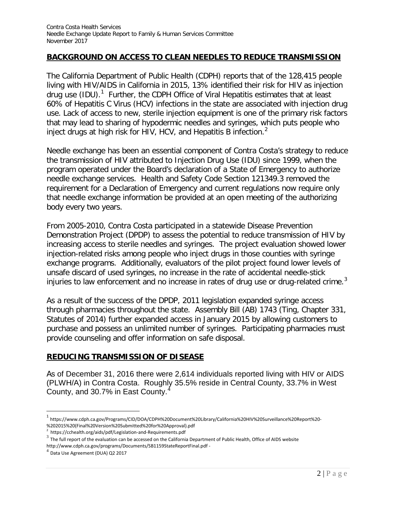### **BACKGROUND ON ACCESS TO CLEAN NEEDLES TO REDUCE TRANSMISSION**

The California Department of Public Health (CDPH) reports that of the 128,415 people living with HIV/AIDS in California in 2015, 13% identified their risk for HIV as injection drug use (IDU).<sup>[1](#page-1-0)</sup> Further, the CDPH Office of Viral Hepatitis estimates that at least 60% of Hepatitis C Virus (HCV) infections in the state are associated with injection drug use. Lack of access to new, sterile injection equipment is one of the primary risk factors that may lead to sharing of hypodermic needles and syringes, which puts people who inject drugs at high risk for HIV, HCV, and Hepatitis B infection.<sup>[2](#page-1-1)</sup>

Needle exchange has been an essential component of Contra Costa's strategy to reduce the transmission of HIV attributed to Injection Drug Use (IDU) since 1999, when the program operated under the Board's declaration of a State of Emergency to authorize needle exchange services. Health and Safety Code Section 121349.3 removed the requirement for a Declaration of Emergency and current regulations now require only that needle exchange information be provided at an open meeting of the authorizing body every two years.

From 2005-2010, Contra Costa participated in a statewide Disease Prevention Demonstration Project (DPDP) to assess the potential to reduce transmission of HIV by increasing access to sterile needles and syringes. The project evaluation showed lower injection-related risks among people who inject drugs in those counties with syringe exchange programs. Additionally, evaluators of the pilot project found lower levels of unsafe discard of used syringes, no increase in the rate of accidental needle-stick injuries to law enforcement and no increase in rates of drug use or drug-related crime.<sup>[3](#page-1-2)</sup>

As a result of the success of the DPDP, 2011 legislation expanded syringe access through pharmacies throughout the state. Assembly Bill (AB) 1743 (Ting, Chapter 331, Statutes of 2014) further expanded access in January 2015 by allowing customers to purchase and possess an unlimited number of syringes. Participating pharmacies must provide counseling and offer information on safe disposal.

#### **REDUCING TRANSMISSION OF DISEASE**

As of December 31, 2016 there were 2,614 individuals reported living with HIV or AIDS (PLWH/A) in Contra Costa. Roughly 35.5% reside in Central County, 33.7% in West County, and 30.7% in East County.[4](#page-1-3)

<span id="page-1-0"></span><sup>1</sup> https://www.cdph.ca.gov/Programs/CID/DOA/CDPH%20Document%20Library/California%20HIV%20Surveillance%20Report%20-

<sup>%202015%20(</sup>Final%20Version%20Submitted%20for%20Approval).pdf<br><sup>2</sup> https://cchealth.org/aids/pdf/Legislation-and-Requirements.pdf

<span id="page-1-2"></span><span id="page-1-1"></span> $^3$  The full report of the evaluation can be accessed on the California Department of Public Health, Office of AIDS website <http://www.cdph.ca.gov/programs/Documents/SB1159StateReportFinal.pdf> - 4<br><sup>4</sup> Data Use Agreement (DUA) Q2 2017

<span id="page-1-3"></span>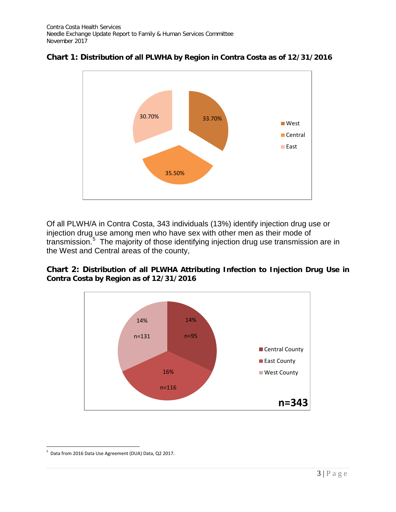

### **Chart 1: Distribution of all PLWHA by Region in Contra Costa as of 12/31/2016**

Of all PLWH/A in Contra Costa, 343 individuals (13%) identify injection drug use or injection drug use among men who have sex with other men as their mode of transmission. [5](#page-2-0) The majority of those identifying injection drug use transmission are in the West and Central areas of the county,





<span id="page-2-0"></span><sup>5</sup> Data from 2016 Data Use Agreement (DUA) Data, Q2 2017.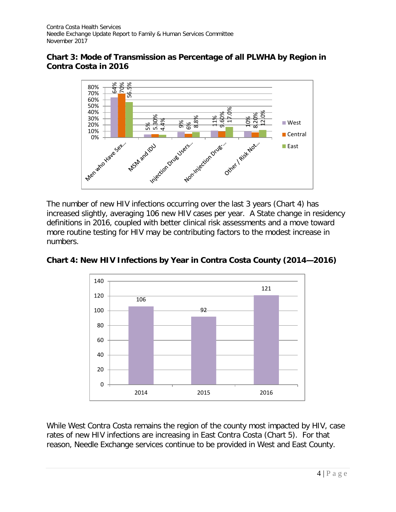### **Chart 3: Mode of Transmission as Percentage of all PLWHA by Region in Contra Costa in 2016**



The number of new HIV infections occurring over the last 3 years (Chart 4) has increased slightly, averaging 106 new HIV cases per year. A State change in residency definitions in 2016, coupled with better clinical risk assessments and a move toward more routine testing for HIV may be contributing factors to the modest increase in numbers.



**Chart 4: New HIV Infections by Year in Contra Costa County (2014—2016)** 

While West Contra Costa remains the region of the county most impacted by HIV, case rates of new HIV infections are increasing in East Contra Costa (Chart 5). For that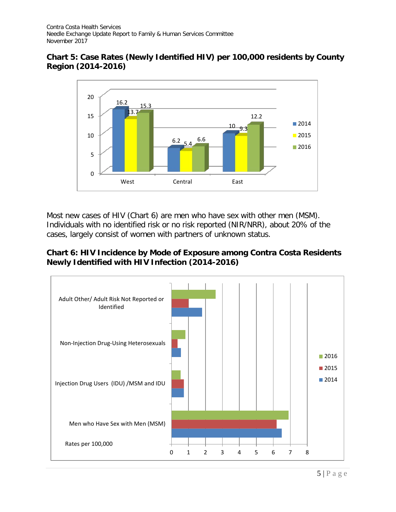## **Chart 5: Case Rates (Newly Identified HIV) per 100,000 residents by County Region (2014-2016)**



Most new cases of HIV (Chart 6) are men who have sex with other men (MSM). Individuals with no identified risk or no risk reported (NIR/NRR), about 20% of the cases, largely consist of women with partners of unknown status.

## **Chart 6: HIV Incidence by Mode of Exposure among Contra Costa Residents Newly Identified with HIV Infection (2014-2016)**

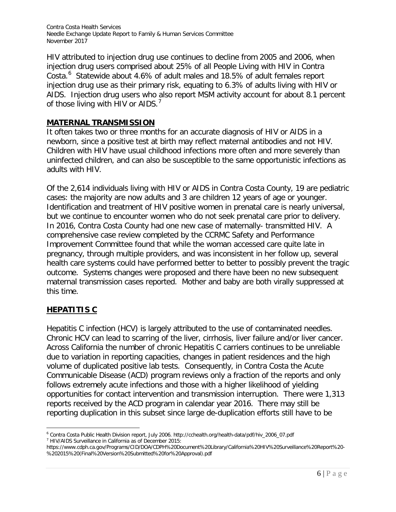HIV attributed to injection drug use continues to decline from 2005 and 2006, when injection drug users comprised about 25% of all People Living with HIV in Contra Costa. [6](#page-5-0) Statewide about 4.6% of adult males and 18.5% of adult females report injection drug use as their primary risk, equating to 6.3% of adults living with HIV or AIDS. Injection drug users who also report MSM activity account for about 8.1 percent of those living with  $HIV$  or AIDS.<sup>[7](#page-5-1)</sup>

### **MATERNAL TRANSMISSION**

It often takes two or three months for an accurate diagnosis of HIV or AIDS in a newborn, since a positive test at birth may reflect maternal antibodies and not HIV. Children with HIV have usual childhood infections more often and more severely than uninfected children, and can also be susceptible to the same opportunistic infections as adults with HIV.

Of the 2,614 individuals living with HIV or AIDS in Contra Costa County, 19 are pediatric cases: the majority are now adults and 3 are children 12 years of age or younger. Identification and treatment of HIV positive women in prenatal care is nearly universal, but we continue to encounter women who do not seek prenatal care prior to delivery. In 2016, Contra Costa County had one new case of maternally- transmitted HIV. A comprehensive case review completed by the CCRMC Safety and Performance Improvement Committee found that while the woman accessed care quite late in pregnancy, through multiple providers, and was inconsistent in her follow up, several health care systems could have performed better to better to possibly prevent the tragic outcome. Systems changes were proposed and there have been no new subsequent maternal transmission cases reported. Mother and baby are both virally suppressed at this time.

# **HEPATITIS C**

 $\overline{a}$ 

Hepatitis C infection (HCV) is largely attributed to the use of contaminated needles. Chronic HCV can lead to scarring of the liver, cirrhosis, liver failure and/or liver cancer. Across California the number of chronic Hepatitis C carriers continues to be unreliable due to variation in reporting capacities, changes in patient residences and the high volume of duplicated positive lab tests. Consequently, in Contra Costa the Acute Communicable Disease (ACD) program reviews only a fraction of the reports and only follows extremely acute infections and those with a higher likelihood of yielding opportunities for contact intervention and transmission interruption. There were 1,313 reports received by the ACD program in calendar year 2016. There may still be reporting duplication in this subset since large de-duplication efforts still have to be

<span id="page-5-0"></span><sup>6</sup> Contra Costa Public Health Division report, July 2006. http://cchealth.org/health-data/pdf/hiv\_2006\_07.pdf <sup>7</sup> HIV/AIDS Surveillance in California as of December 2015:

<span id="page-5-1"></span>https://www.cdph.ca.gov/Programs/CID/DOA/CDPH%20Document%20Library/California%20HIV%20Surveillance%20Report%20- %202015%20(Final%20Version%20Submitted%20for%20Approval).pdf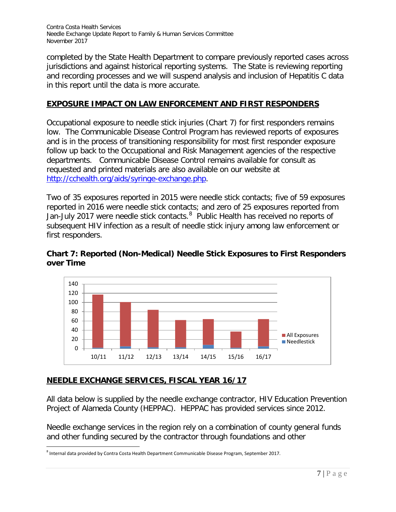completed by the State Health Department to compare previously reported cases across jurisdictions and against historical reporting systems. The State is reviewing reporting and recording processes and we will suspend analysis and inclusion of Hepatitis C data in this report until the data is more accurate.

## **EXPOSURE IMPACT ON LAW ENFORCEMENT AND FIRST RESPONDERS**

Occupational exposure to needle stick injuries (Chart 7) for first responders remains low. The Communicable Disease Control Program has reviewed reports of exposures and is in the process of transitioning responsibility for most first responder exposure follow up back to the Occupational and Risk Management agencies of the respective departments. Communicable Disease Control remains available for consult as requested and printed materials are also available on our website at [http://cchealth.org/aids/syringe-exchange.php.](http://cchealth.org/aids/syringe-exchange.php)

Two of 35 exposures reported in 2015 were needle stick contacts; five of 59 exposures reported in 2016 were needle stick contacts; and zero of 25 exposures reported from Jan-July 2017 were needle stick contacts. <sup>[8](#page-6-0)</sup> Public Health has received no reports of subsequent HIV infection as a result of needle stick injury among law enforcement or first responders.



**Chart 7: Reported (Non-Medical) Needle Stick Exposures to First Responders over Time**

# **NEEDLE EXCHANGE SERVICES, FISCAL YEAR 16/17**

All data below is supplied by the needle exchange contractor, HIV Education Prevention Project of Alameda County (HEPPAC). HEPPAC has provided services since 2012.

Needle exchange services in the region rely on a combination of county general funds and other funding secured by the contractor through foundations and other

<span id="page-6-0"></span> $^8$  Internal data provided by Contra Costa Health Department Communicable Disease Program, September 2017.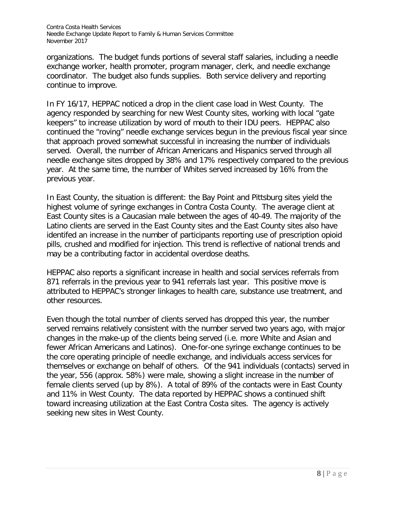organizations. The budget funds portions of several staff salaries, including a needle exchange worker, health promoter, program manager, clerk, and needle exchange coordinator. The budget also funds supplies. Both service delivery and reporting continue to improve.

In FY 16/17, HEPPAC noticed a drop in the client case load in West County. The agency responded by searching for new West County sites, working with local "gate keepers" to increase utilization by word of mouth to their IDU peers. HEPPAC also continued the "roving" needle exchange services begun in the previous fiscal year since that approach proved somewhat successful in increasing the number of individuals served. Overall, the number of African Americans and Hispanics served through all needle exchange sites dropped by 38% and 17% respectively compared to the previous year. At the same time, the number of Whites served increased by 16% from the previous year.

In East County, the situation is different: the Bay Point and Pittsburg sites yield the highest volume of syringe exchanges in Contra Costa County. The average client at East County sites is a Caucasian male between the ages of 40-49. The majority of the Latino clients are served in the East County sites and the East County sites also have identifed an increase in the number of participants reporting use of prescription opioid pills, crushed and modified for injection. This trend is reflective of national trends and may be a contributing factor in accidental overdose deaths.

HEPPAC also reports a significant increase in health and social services referrals from 871 referrals in the previous year to 941 referrals last year. This positive move is attributed to HEPPAC's stronger linkages to health care, substance use treatment, and other resources.

Even though the total number of clients served has dropped this year, the number served remains relatively consistent with the number served two years ago, with major changes in the make-up of the clients being served (i.e. more White and Asian and fewer African Americans and Latinos). One-for-one syringe exchange continues to be the core operating principle of needle exchange, and individuals access services for themselves or exchange on behalf of others. Of the 941 individuals (contacts) served in the year, 556 (approx. 58%) were male, showing a slight increase in the number of female clients served (up by 8%). A total of 89% of the contacts were in East County and 11% in West County. The data reported by HEPPAC shows a continued shift toward increasing utilization at the East Contra Costa sites. The agency is actively seeking new sites in West County.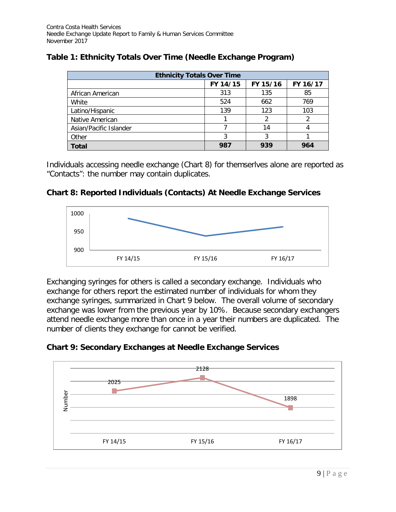| <b>Ethnicity Totals Over Time</b> |          |          |          |  |  |  |  |
|-----------------------------------|----------|----------|----------|--|--|--|--|
|                                   | FY 14/15 | FY 15/16 | FY 16/17 |  |  |  |  |
| African American                  | 313      | 135      | 85       |  |  |  |  |
| White                             | 524      | 662      | 769      |  |  |  |  |
| Latino/Hispanic                   | 139      | 123      | 103      |  |  |  |  |
| Native American                   |          |          |          |  |  |  |  |
| Asian/Pacific Islander            |          | 14       |          |  |  |  |  |
| Other                             |          |          |          |  |  |  |  |
| <b>Total</b>                      | 987      | 939      | 964      |  |  |  |  |

# **Table 1: Ethnicity Totals Over Time (Needle Exchange Program)**

Individuals accessing needle exchange (Chart 8) for themserlves alone are reported as "Contacts": the number may contain duplicates.





Exchanging syringes for others is called a secondary exchange. Individuals who exchange for others report the estimated number of individuals for whom they exchange syringes, summarized in Chart 9 below. The overall volume of secondary exchange was lower from the previous year by 10%. Because secondary exchangers attend needle exchange more than once in a year their numbers are duplicated. The number of clients they exchange for cannot be verified.



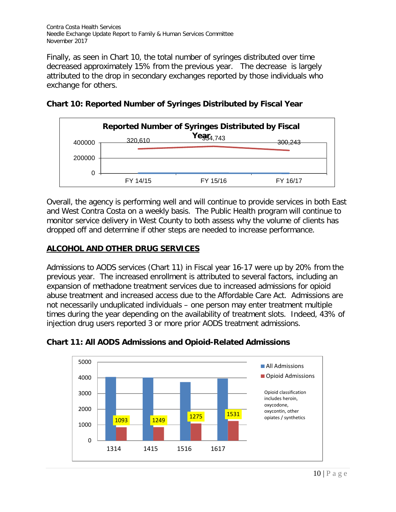Finally, as seen in Chart 10, the total number of syringes distributed over time decreased approximately 15% from the previous year. The decrease is largely attributed to the drop in secondary exchanges reported by those individuals who exchange for others.



**Chart 10: Reported Number of Syringes Distributed by Fiscal Year**

Overall, the agency is performing well and will continue to provide services in both East and West Contra Costa on a weekly basis. The Public Health program will continue to monitor service delivery in West County to both assess why the volume of clients has dropped off and determine if other steps are needed to increase performance.

### **ALCOHOL AND OTHER DRUG SERVICES**

Admissions to AODS services (Chart 11) in Fiscal year 16-17 were up by 20% from the previous year. The increased enrollment is attributed to several factors, including an expansion of methadone treatment services due to increased admissions for opioid abuse treatment and increased access due to the Affordable Care Act. Admissions are not necessarily unduplicated individuals – one person may enter treatment multiple times during the year depending on the availability of treatment slots. Indeed, 43% of injection drug users reported 3 or more prior AODS treatment admissions.



### **Chart 11: All AODS Admissions and Opioid-Related Admissions**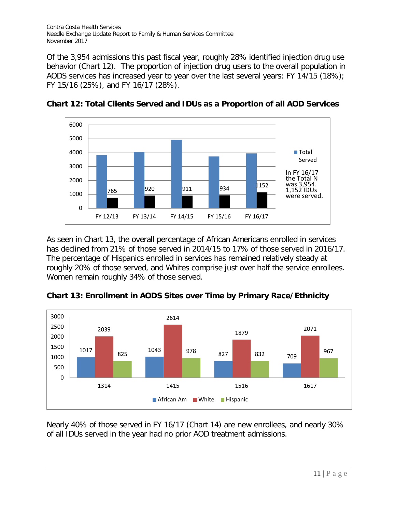Of the 3,954 admissions this past fiscal year, roughly 28% identified injection drug use behavior (Chart 12). The proportion of injection drug users to the overall population in AODS services has increased year to year over the last several years: FY 14/15 (18%); FY 15/16 (25%), and FY 16/17 (28%).



**Chart 12: Total Clients Served and IDUs as a Proportion of all AOD Services**

As seen in Chart 13, the overall percentage of African Americans enrolled in services has declined from 21% of those served in 2014/15 to 17% of those served in 2016/17. The percentage of Hispanics enrolled in services has remained relatively steady at roughly 20% of those served, and Whites comprise just over half the service enrollees. Women remain roughly 34% of those served.



**Chart 13: Enrollment in AODS Sites over Time by Primary Race/Ethnicity**

Nearly 40% of those served in FY 16/17 (Chart 14) are new enrollees, and nearly 30% of all IDUs served in the year had no prior AOD treatment admissions.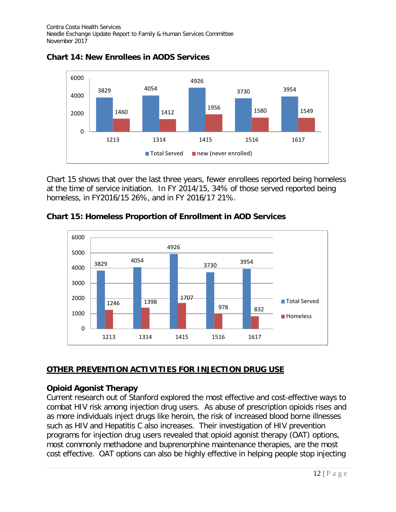

**Chart 14: New Enrollees in AODS Services**

Chart 15 shows that over the last three years, fewer enrollees reported being homeless at the time of service initiation. In FY 2014/15, 34% of those served reported being homeless, in FY2016/15 26%, and in FY 2016/17 21%.

**Chart 15: Homeless Proportion of Enrollment in AOD Services**



# **OTHER PREVENTION ACTIVITIES FOR INJECTION DRUG USE**

# **Opioid Agonist Therapy**

Current research out of Stanford explored the most effective and cost-effective ways to combat HIV risk among injection drug users. As abuse of prescription opioids rises and as more individuals inject drugs like heroin, the risk of increased blood borne illnesses such as HIV and Hepatitis C also increases. Their investigation of HIV prevention programs for injection drug users revealed that opioid agonist therapy (OAT) options, most commonly methadone and buprenorphine maintenance therapies, are the most cost effective. OAT options can also be highly effective in helping people stop injecting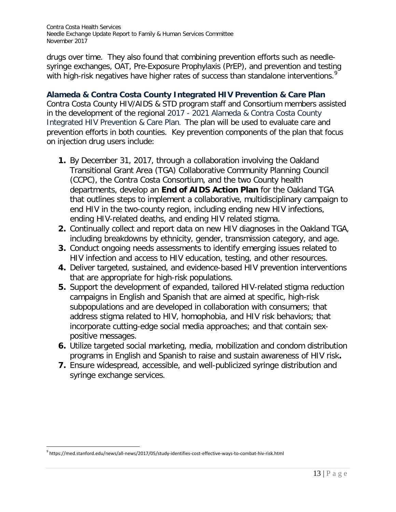drugs over time. They also found that combining prevention efforts such as needlesyringe exchanges, OAT, Pre-Exposure Prophylaxis (PrEP), and prevention and testing with high-risk negatives have higher rates of success than standalone interventions.<sup>[9](#page-12-0)</sup>

### **Alameda & Contra Costa County Integrated HIV Prevention & Care Plan**

Contra Costa County HIV/AIDS & STD program staff and Consortium members assisted in the development of the regional 2017 - 2021 Alameda & Contra Costa County Integrated HIV Prevention & Care Plan. The plan will be used to evaluate care and prevention efforts in both counties. Key prevention components of the plan that focus on injection drug users include:

- **1.** By December 31, 2017, through a collaboration involving the Oakland Transitional Grant Area (TGA) Collaborative Community Planning Council (CCPC), the Contra Costa Consortium, and the two County health departments, develop an **End of AIDS Action Plan** for the Oakland TGA that outlines steps to implement a collaborative, multidisciplinary campaign to end HIV in the two-county region, including ending new HIV infections, ending HIV-related deaths, and ending HIV related stigma.
- **2.** Continually collect and report data on new HIV diagnoses in the Oakland TGA, including breakdowns by ethnicity, gender, transmission category, and age.
- **3.** Conduct ongoing needs assessments to identify emerging issues related to HIV infection and access to HIV education, testing, and other resources.
- **4.** Deliver targeted, sustained, and evidence-based HIV prevention interventions that are appropriate for high-risk populations.
- **5.** Support the development of expanded, tailored HIV-related stigma reduction campaigns in English and Spanish that are aimed at specific, high-risk subpopulations and are developed in collaboration with consumers; that address stigma related to HIV, homophobia, and HIV risk behaviors; that incorporate cutting-edge social media approaches; and that contain sexpositive messages.
- **6.** Utilize targeted social marketing, media, mobilization and condom distribution programs in English and Spanish to raise and sustain awareness of HIV risk**.**
- **7.** Ensure widespread, accessible, and well-publicized syringe distribution and syringe exchange services.

<span id="page-12-0"></span><sup>9</sup> https://med.stanford.edu/news/all-news/2017/05/study-identifies-cost-effective-ways-to-combat-hiv-risk.html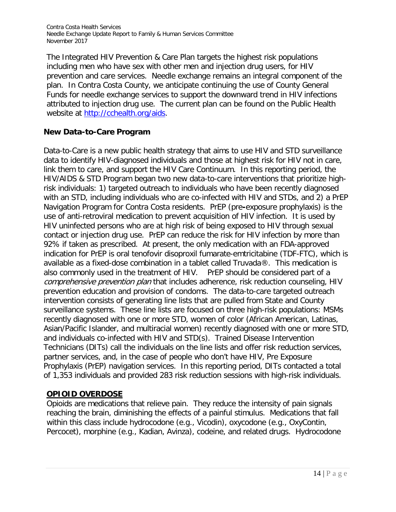The Integrated HIV Prevention & Care Plan targets the highest risk populations including men who have sex with other men and injection drug users, for HIV prevention and care services. Needle exchange remains an integral component of the plan. In Contra Costa County, we anticipate continuing the use of County General Funds for needle exchange services to support the downward trend in HIV infections attributed to injection drug use. The current plan can be found on the Public Health website at [http://cchealth.org/aids.](http://cchealth.org/aids)

# **New Data-to-Care Program**

Data-to-Care is a new public health strategy that aims to use HIV and STD surveillance data to identify HIV-diagnosed individuals and those at highest risk for HIV not in care, link them to care, and support the HIV Care Continuum. In this reporting period, the HIV/AIDS & STD Program began two new data-to-care interventions that prioritize highrisk individuals: 1) targeted outreach to individuals who have been recently diagnosed with an STD, including individuals who are co-infected with HIV and STDs, and 2) a PrEP Navigation Program for Contra Costa residents. PrEP (pre**-**exposure prophylaxis) is the use of anti-retroviral medication to prevent acquisition of HIV infection. It is used by HIV uninfected persons who are at high risk of being exposed to HIV through sexual contact or injection drug use. PrEP can reduce the risk for HIV infection by more than 92% if taken as prescribed. At present, the only medication with an FDA-approved indication for PrEP is oral tenofovir disoproxil fumarate-emtricitabine (TDF-FTC), which is available as a fixed-dose combination in a tablet called Truvada®. This medication is also commonly used in the treatment of HIV. PrEP should be considered part of a comprehensive prevention plan that includes adherence, risk reduction counseling, HIV prevention education and provision of condoms. The data-to-care targeted outreach intervention consists of generating line lists that are pulled from State and County surveillance systems. These line lists are focused on three high-risk populations: MSMs recently diagnosed with one or more STD, women of color (African American, Latinas, Asian/Pacific Islander, and multiracial women) recently diagnosed with one or more STD, and individuals co-infected with HIV and STD(s). Trained Disease Intervention Technicians (DITs) call the individuals on the line lists and offer risk reduction services, partner services, and, in the case of people who don't have HIV, Pre Exposure Prophylaxis (PrEP) navigation services. In this reporting period, DITs contacted a total of 1,353 individuals and provided 283 risk reduction sessions with high-risk individuals.

# **OPIOID OVERDOSE**

Opioids are medications that relieve pain. They reduce the intensity of pain signals reaching the brain, diminishing the effects of a painful stimulus. Medications that fall within this class include hydrocodone (e.g., Vicodin), oxycodone (e.g., OxyContin, Percocet), morphine (e.g., Kadian, Avinza), codeine, and related drugs. Hydrocodone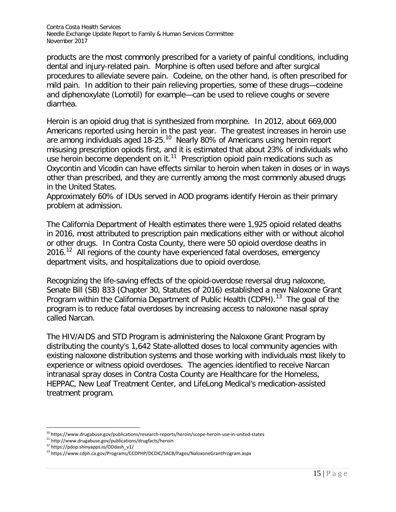products are the most commonly prescribed for a variety of painful conditions, including dental and injury-related pain. Morphine is often used before and after surgical procedures to alleviate severe pain. Codeine, on the other hand, is often prescribed for mild pain. In addition to their pain relieving properties, some of these drugs—codeine and diphenoxylate (Lomotil) for example—can be used to relieve coughs or severe diarrhea.

Heroin is an opioid drug that is synthesized from morphine. In 2012, about 669,000 Americans reported using heroin in the past year. The greatest increases in heroin use are among individuals aged 18-25.<sup>10</sup> Nearly 80% of Americans using heroin report misusing prescription opiods first, and it is estimated that about 23% of individuals who use heroin become dependent on it. $11$  Prescription opioid pain medications such as Oxycontin and Vicodin can have effects similar to heroin when taken in doses or in ways other than prescribed, and they are currently among the most commonly abused drugs in the United States.

Approximately 60% of IDUs served in AOD programs identify Heroin as their primary problem at admission.

The California Department of Health estimates there were 1,925 opioid related deaths in 2016, most attributed to prescription pain medications either with or without alcohol or other drugs. In Contra Costa County, there were 50 opioid overdose deaths in 2016.<sup>[12](#page-14-2)</sup> All regions of the county have experienced fatal overdoses, emergency department visits, and hospitalizations due to opioid overdose.

Recognizing the life-saving effects of the opioid-overdose reversal drug naloxone, Senate Bill (SB) 833 (Chapter 30, Statutes of 2016) established a new Naloxone Grant Program within the California Department of Public Health (CDPH).<sup>13</sup> The goal of the program is to reduce fatal overdoses by increasing access to naloxone nasal spray called Narcan.

The HIV/AIDS and STD Program is administering the Naloxone Grant Program by distributing the county's 1,642 State-allotted doses to local community agencies with existing naloxone distribution systems and those working with individuals most likely to experience or witness opioid overdoses. The agencies identified to receive Narcan intranasal spray doses in Contra Costa County are Healthcare for the Homeless, HEPPAC, New Leaf Treatment Center, and LifeLong Medical's medication-assisted treatment program.

<span id="page-14-0"></span><sup>&</sup>lt;sup>10</sup> https://www.drugabuse.gov/publications/research-reports/heroin/scope-heroin-use-in-united-states

<span id="page-14-1"></span><sup>&</sup>lt;sup>11</sup> http://www.drugabuse.gov/publications/drugfacts/heroin  $^{12}$  https://pdop.shinyapps.io/ODdash\_v1/

<span id="page-14-2"></span>

<span id="page-14-3"></span><sup>13</sup> https://www.cdph.ca.gov/Programs/CCDPHP/DCDIC/SACB/Pages/NaloxoneGrantProgram.aspx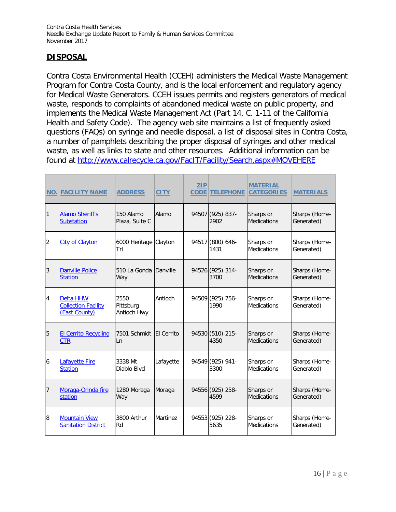# **DISPOSAL**

Contra Costa Environmental Health (CCEH) administers the Medical Waste Management Program for Contra Costa County, and is the local enforcement and regulatory agency for Medical Waste Generators. CCEH issues permits and registers generators of medical waste, responds to complaints of abandoned medical waste on public property, and implements the Medical Waste Management Act (Part 14, C. 1-11 of the California Health and Safety Code). The agency web site maintains a list of frequently asked questions (FAQs) on syringe and needle disposal, a list of disposal sites in Contra Costa, a number of pamphlets describing the proper disposal of syringes and other medical waste, as well as links to state and other resources. Additional information can be found at<http://www.calrecycle.ca.gov/FacIT/Facility/Search.aspx#MOVEHERE>

|                | <b>NO. FACILITY NAME</b>                                        | <b>ADDRESS</b>                   | <b>CITY</b>       | ZIP<br><b>CODE</b> | <b>TELEPHONE</b>         | <b>MATERIAL</b><br><b>CATEGORIES</b> | <b>MATERIALS</b>            |
|----------------|-----------------------------------------------------------------|----------------------------------|-------------------|--------------------|--------------------------|--------------------------------------|-----------------------------|
| 1              | <b>Alamo Sheriff's</b><br><b>Substation</b>                     | 150 Alamo<br>Plaza, Suite C      | Alamo             |                    | 94507 (925) 837-<br>2902 | Sharps or<br>Medications             | Sharps (Home-<br>Generated) |
| $\overline{2}$ | <b>City of Clayton</b>                                          | 6000 Heritage Clayton<br>Trl     |                   |                    | 94517 (800) 646-<br>1431 | Sharps or<br><b>Medications</b>      | Sharps (Home-<br>Generated) |
| $\overline{3}$ | <b>Danville Police</b><br><b>Station</b>                        | 510 La Gonda Danville<br>Way     |                   |                    | 94526 (925) 314-<br>3700 | Sharps or<br>Medications             | Sharps (Home-<br>Generated) |
| $\overline{4}$ | <b>Delta HHW</b><br><b>Collection Facility</b><br>(East County) | 2550<br>Pittsburg<br>Antioch Hwy | Antioch           |                    | 94509 (925) 756-<br>1990 | Sharps or<br><b>Medications</b>      | Sharps (Home-<br>Generated) |
| 5              | <b>El Cerrito Recycling</b><br><b>CTR</b>                       | 7501 Schmidt<br>Ln               | <b>El Cerrito</b> |                    | 94530 (510) 215-<br>4350 | Sharps or<br>Medications             | Sharps (Home-<br>Generated) |
| 6              | Lafayette Fire<br><b>Station</b>                                | 3338 Mt<br>Diablo Blyd           | Lafayette         |                    | 94549 (925) 941-<br>3300 | Sharps or<br><b>Medications</b>      | Sharps (Home-<br>Generated) |
| 7              | Moraga-Orinda fire<br>station                                   | 1280 Moraga<br>Way               | Moraga            |                    | 94556 (925) 258-<br>4599 | Sharps or<br><b>Medications</b>      | Sharps (Home-<br>Generated) |
| 8              | <b>Mountain View</b><br><b>Sanitation District</b>              | 3800 Arthur<br>Rd                | Martinez          |                    | 94553 (925) 228-<br>5635 | Sharps or<br><b>Medications</b>      | Sharps (Home-<br>Generated) |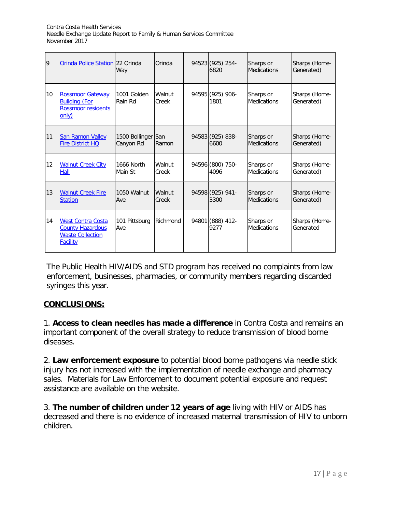| 9  | Orinda Police Station 22 Orinda                                                                   | Way                             | Orinda          | 94523 (925) 254-<br>6820 | Sharps or<br><b>Medications</b> | Sharps (Home-<br>Generated) |
|----|---------------------------------------------------------------------------------------------------|---------------------------------|-----------------|--------------------------|---------------------------------|-----------------------------|
| 10 | <b>Rossmoor Gateway</b><br><b>Building (For</b><br><b>Rossmoor residents</b><br>only)             | 1001 Golden<br>Rain Rd          | Walnut<br>Creek | 94595 (925) 906-<br>1801 | Sharps or<br><b>Medications</b> | Sharps (Home-<br>Generated) |
| 11 | <b>San Ramon Valley</b><br><b>Fire District HQ</b>                                                | 1500 Bollinger San<br>Canyon Rd | Ramon           | 94583 (925) 838-<br>6600 | Sharps or<br><b>Medications</b> | Sharps (Home-<br>Generated) |
| 12 | <b>Walnut Creek City</b><br>Hall                                                                  | 1666 North<br>Main St           | Walnut<br>Creek | 94596 (800) 750-<br>4096 | Sharps or<br><b>Medications</b> | Sharps (Home-<br>Generated) |
| 13 | <b>Walnut Creek Fire</b><br><b>Station</b>                                                        | 1050 Walnut<br>Ave              | Walnut<br>Creek | 94598 (925) 941-<br>3300 | Sharps or<br><b>Medications</b> | Sharps (Home-<br>Generated) |
| 14 | <b>West Contra Costa</b><br><b>County Hazardous</b><br><b>Waste Collection</b><br><b>Facility</b> | 101 Pittsburg<br>Ave            | Richmond        | 94801 (888) 412-<br>9277 | Sharps or<br><b>Medications</b> | Sharps (Home-<br>Generated  |

The Public Health HIV/AIDS and STD program has received no complaints from law enforcement, businesses, pharmacies, or community members regarding discarded syringes this year.

### **CONCLUSIONS:**

1. **Access to clean needles has made a difference** in Contra Costa and remains an important component of the overall strategy to reduce transmission of blood borne diseases.

2. **Law enforcement exposure** to potential blood borne pathogens via needle stick injury has not increased with the implementation of needle exchange and pharmacy sales. Materials for Law Enforcement to document potential exposure and request assistance are available on the website.

3. **The number of children under 12 years of age** living with HIV or AIDS has decreased and there is no evidence of increased maternal transmission of HIV to unborn children.